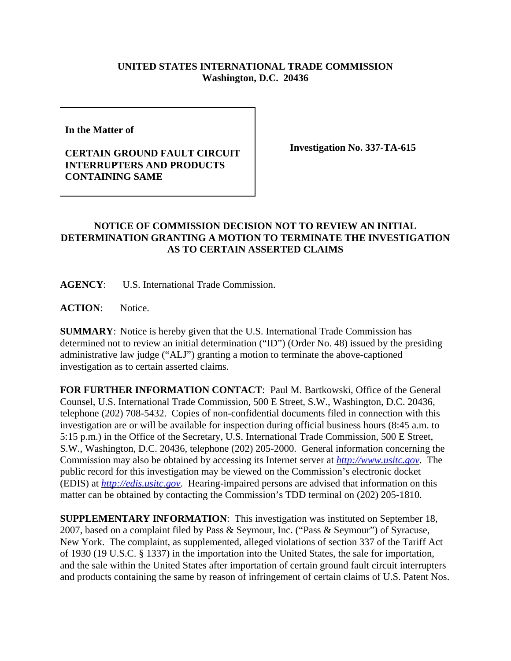## **UNITED STATES INTERNATIONAL TRADE COMMISSION Washington, D.C. 20436**

**In the Matter of** 

## **CERTAIN GROUND FAULT CIRCUIT INTERRUPTERS AND PRODUCTS CONTAINING SAME**

**Investigation No. 337-TA-615**

## **NOTICE OF COMMISSION DECISION NOT TO REVIEW AN INITIAL DETERMINATION GRANTING A MOTION TO TERMINATE THE INVESTIGATION AS TO CERTAIN ASSERTED CLAIMS**

**AGENCY**: U.S. International Trade Commission.

**ACTION**: Notice.

**SUMMARY**: Notice is hereby given that the U.S. International Trade Commission has determined not to review an initial determination ("ID") (Order No. 48) issued by the presiding administrative law judge ("ALJ") granting a motion to terminate the above-captioned investigation as to certain asserted claims.

**FOR FURTHER INFORMATION CONTACT**: Paul M. Bartkowski, Office of the General Counsel, U.S. International Trade Commission, 500 E Street, S.W., Washington, D.C. 20436, telephone (202) 708-5432. Copies of non-confidential documents filed in connection with this investigation are or will be available for inspection during official business hours (8:45 a.m. to 5:15 p.m.) in the Office of the Secretary, U.S. International Trade Commission, 500 E Street, S.W., Washington, D.C. 20436, telephone (202) 205-2000. General information concerning the Commission may also be obtained by accessing its Internet server at *http://www.usitc.gov*. The public record for this investigation may be viewed on the Commission's electronic docket (EDIS) at *http://edis.usitc.gov*. Hearing-impaired persons are advised that information on this matter can be obtained by contacting the Commission's TDD terminal on (202) 205-1810.

**SUPPLEMENTARY INFORMATION**: This investigation was instituted on September 18, 2007, based on a complaint filed by Pass & Seymour, Inc. ("Pass & Seymour") of Syracuse, New York. The complaint, as supplemented, alleged violations of section 337 of the Tariff Act of 1930 (19 U.S.C. § 1337) in the importation into the United States, the sale for importation, and the sale within the United States after importation of certain ground fault circuit interrupters and products containing the same by reason of infringement of certain claims of U.S. Patent Nos.